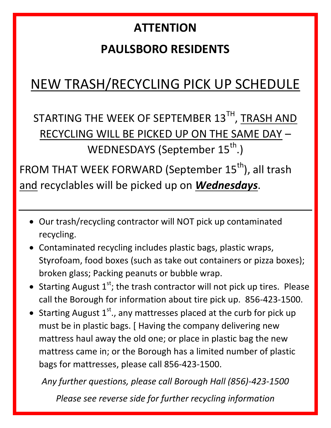# **ATTENTION PAULSBORO RESIDENTS**

## NEW TRASH/RECYCLING PICK UP SCHEDULE

STARTING THE WEEK OF SEPTEMBER  $13^{\text{TH}}$ , TRASH AND RECYCLING WILL BE PICKED UP ON THE SAME DAY – WEDNESDAYS (September 15<sup>th</sup>.)

FROM THAT WEEK FORWARD (September 15<sup>th</sup>), all trash and recyclables will be picked up on *Wednesdays*.

- Our trash/recycling contractor will NOT pick up contaminated recycling.
- Contaminated recycling includes plastic bags, plastic wraps, Styrofoam, food boxes (such as take out containers or pizza boxes); broken glass; Packing peanuts or bubble wrap.
- Starting August  $1<sup>st</sup>$ ; the trash contractor will not pick up tires. Please call the Borough for information about tire pick up. 856-423-1500.
- Starting August  $1<sup>st</sup>$ ., any mattresses placed at the curb for pick up must be in plastic bags. [ Having the company delivering new mattress haul away the old one; or place in plastic bag the new mattress came in; or the Borough has a limited number of plastic bags for mattresses, please call 856-423-1500.

*Any further questions, please call Borough Hall (856)-423-1500*

*Please see reverse side for further recycling information*